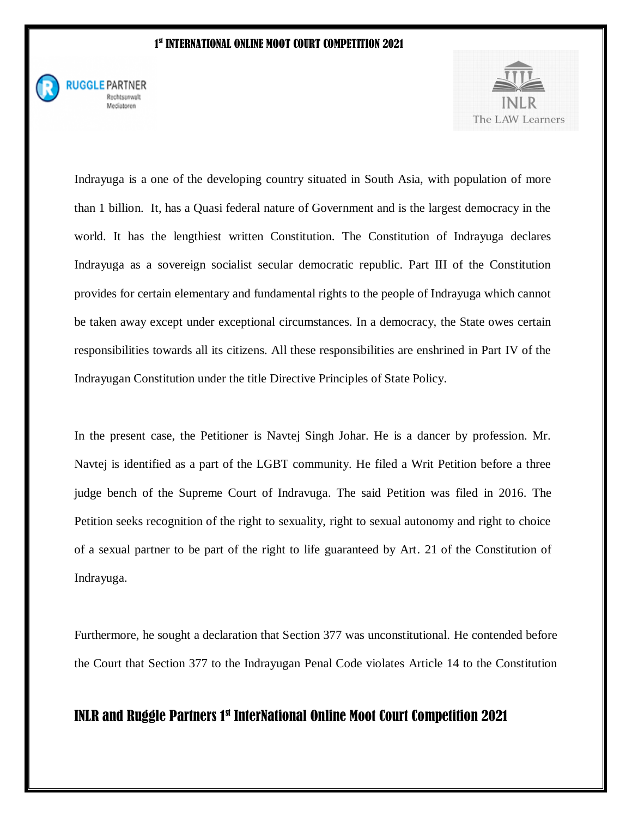

**RUGGLE PARTNER** Rechtsanwalt Mediatoren



Indrayuga is a one of the developing country situated in South Asia, with population of more than 1 billion. It, has a Quasi federal nature of Government and is the largest democracy in the world. It has the lengthiest written Constitution. The Constitution of Indrayuga declares Indrayuga as a sovereign socialist secular democratic republic. Part III of the Constitution provides for certain elementary and fundamental rights to the people of Indrayuga which cannot be taken away except under exceptional circumstances. In a democracy, the State owes certain responsibilities towards all its citizens. All these responsibilities are enshrined in Part IV of the Indrayugan Constitution under the title Directive Principles of State Policy.

In the present case, the Petitioner is Navtej Singh Johar. He is a dancer by profession. Mr. Navtej is identified as a part of the LGBT community. He filed a Writ Petition before a three judge bench of the Supreme Court of Indravuga. The said Petition was filed in 2016. The Petition seeks recognition of the right to sexuality, right to sexual autonomy and right to choice of a sexual partner to be part of the right to life guaranteed by Art. 21 of the Constitution of Indrayuga.

Furthermore, he sought a declaration that Section 377 was unconstitutional. He contended before the Court that Section 377 to the Indrayugan Penal Code violates Article 14 to the Constitution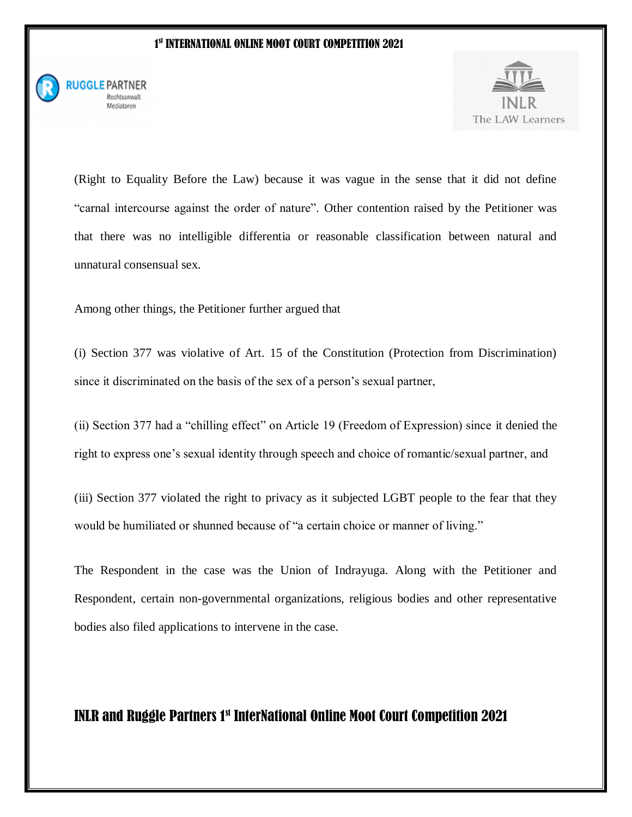

**RUGGLE PARTNER** Rechtsanwalt Mediatoren



(Right to Equality Before the Law) because it was vague in the sense that it did not define "carnal intercourse against the order of nature". Other contention raised by the Petitioner was that there was no intelligible differentia or reasonable classification between natural and unnatural consensual sex.

Among other things, the Petitioner further argued that

(i) Section 377 was violative of Art. 15 of the Constitution (Protection from Discrimination) since it discriminated on the basis of the sex of a person's sexual partner,

(ii) Section 377 had a "chilling effect" on Article 19 (Freedom of Expression) since it denied the right to express one's sexual identity through speech and choice of romantic/sexual partner, and

(iii) Section 377 violated the right to privacy as it subjected LGBT people to the fear that they would be humiliated or shunned because of "a certain choice or manner of living."

The Respondent in the case was the Union of Indrayuga. Along with the Petitioner and Respondent, certain non-governmental organizations, religious bodies and other representative bodies also filed applications to intervene in the case.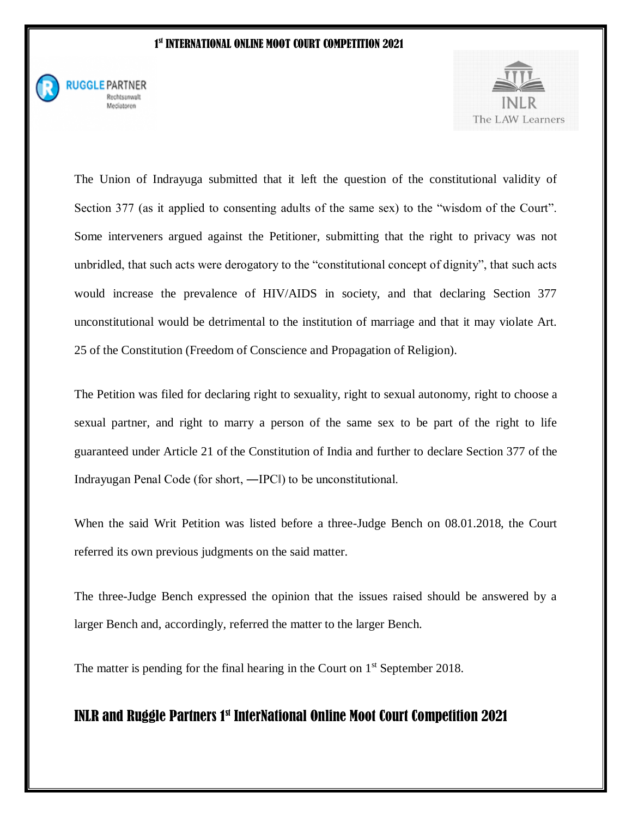

**RUGGLE PARTNER** Rechtsanwalt Mediatoren



The Union of Indrayuga submitted that it left the question of the constitutional validity of Section 377 (as it applied to consenting adults of the same sex) to the "wisdom of the Court". Some interveners argued against the Petitioner, submitting that the right to privacy was not unbridled, that such acts were derogatory to the "constitutional concept of dignity", that such acts would increase the prevalence of HIV/AIDS in society, and that declaring Section 377 unconstitutional would be detrimental to the institution of marriage and that it may violate Art. 25 of the Constitution (Freedom of Conscience and Propagation of Religion).

The Petition was filed for declaring right to sexuality, right to sexual autonomy, right to choose a sexual partner, and right to marry a person of the same sex to be part of the right to life guaranteed under Article 21 of the Constitution of India and further to declare Section 377 of the Indrayugan Penal Code (for short, ―IPC‖) to be unconstitutional.

When the said Writ Petition was listed before a three-Judge Bench on 08.01.2018, the Court referred its own previous judgments on the said matter.

The three-Judge Bench expressed the opinion that the issues raised should be answered by a larger Bench and, accordingly, referred the matter to the larger Bench.

The matter is pending for the final hearing in the Court on  $1<sup>st</sup>$  September 2018.